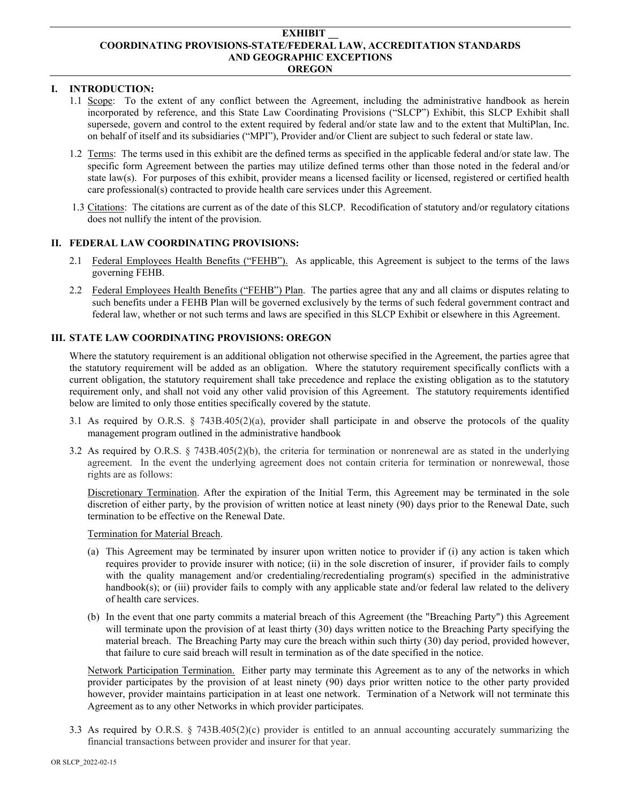#### **EXHIBIT \_\_ COORDINATING PROVISIONS-STATE/FEDERAL LAW, ACCREDITATION STANDARDS AND GEOGRAPHIC EXCEPTIONS OREGON**

# **I. INTRODUCTION:**

- 1.1 Scope: To the extent of any conflict between the Agreement, including the administrative handbook as herein incorporated by reference, and this State Law Coordinating Provisions ("SLCP") Exhibit, this SLCP Exhibit shall supersede, govern and control to the extent required by federal and/or state law and to the extent that MultiPlan, Inc. on behalf of itself and its subsidiaries ("MPI"), Provider and/or Client are subject to such federal or state law.
- 1.2 Terms: The terms used in this exhibit are the defined terms as specified in the applicable federal and/or state law. The specific form Agreement between the parties may utilize defined terms other than those noted in the federal and/or state law(s). For purposes of this exhibit, provider means a licensed facility or licensed, registered or certified health care professional(s) contracted to provide health care services under this Agreement.
- 1.3 Citations: The citations are current as of the date of this SLCP. Recodification of statutory and/or regulatory citations does not nullify the intent of the provision.

## **II. FEDERAL LAW COORDINATING PROVISIONS:**

- 2.1 Federal Employees Health Benefits ("FEHB"). As applicable, this Agreement is subject to the terms of the laws governing FEHB.
- 2.2 Federal Employees Health Benefits ("FEHB") Plan. The parties agree that any and all claims or disputes relating to such benefits under a FEHB Plan will be governed exclusively by the terms of such federal government contract and federal law, whether or not such terms and laws are specified in this SLCP Exhibit or elsewhere in this Agreement.

## **III. STATE LAW COORDINATING PROVISIONS: OREGON**

Where the statutory requirement is an additional obligation not otherwise specified in the Agreement, the parties agree that the statutory requirement will be added as an obligation. Where the statutory requirement specifically conflicts with a current obligation, the statutory requirement shall take precedence and replace the existing obligation as to the statutory requirement only, and shall not void any other valid provision of this Agreement. The statutory requirements identified below are limited to only those entities specifically covered by the statute.

- 3.1 As required by O.R.S. § 743B.405(2)(a), provider shall participate in and observe the protocols of the quality management program outlined in the administrative handbook
- 3.2 As required by O.R.S. § 743B.405(2)(b), the criteria for termination or nonrenewal are as stated in the underlying agreement. In the event the underlying agreement does not contain criteria for termination or nonrewewal, those rights are as follows:

Discretionary Termination. After the expiration of the Initial Term, this Agreement may be terminated in the sole discretion of either party, by the provision of written notice at least ninety (90) days prior to the Renewal Date, such termination to be effective on the Renewal Date.

#### Termination for Material Breach.

- (a) This Agreement may be terminated by insurer upon written notice to provider if (i) any action is taken which requires provider to provide insurer with notice; (ii) in the sole discretion of insurer, if provider fails to comply with the quality management and/or credentialing/recredentialing program(s) specified in the administrative handbook(s); or (iii) provider fails to comply with any applicable state and/or federal law related to the delivery of health care services.
- (b) In the event that one party commits a material breach of this Agreement (the "Breaching Party") this Agreement will terminate upon the provision of at least thirty (30) days written notice to the Breaching Party specifying the material breach. The Breaching Party may cure the breach within such thirty (30) day period, provided however, that failure to cure said breach will result in termination as of the date specified in the notice.

Network Participation Termination. Either party may terminate this Agreement as to any of the networks in which provider participates by the provision of at least ninety (90) days prior written notice to the other party provided however, provider maintains participation in at least one network. Termination of a Network will not terminate this Agreement as to any other Networks in which provider participates.

3.3 As required by O.R.S. § 743B.405(2)(c) provider is entitled to an annual accounting accurately summarizing the financial transactions between provider and insurer for that year.